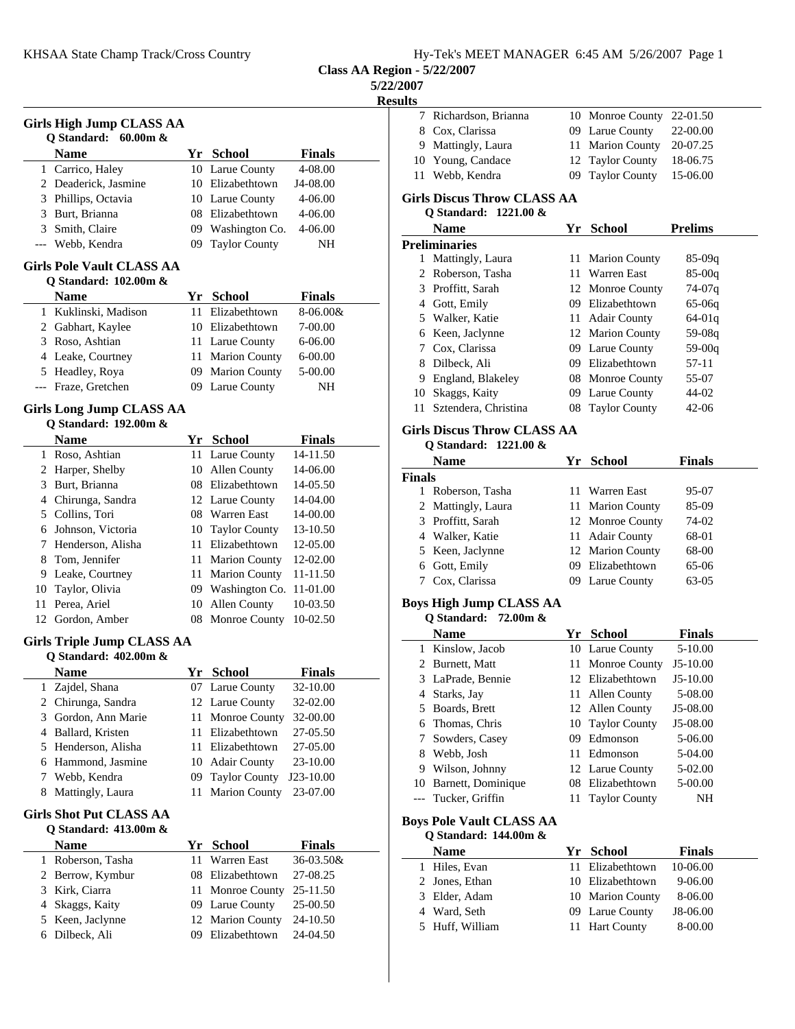| Hy-Tek's MEET MANAGER 6:45 AM 5/26/2007 Page 1 |
|------------------------------------------------|
|------------------------------------------------|

**Class AA Region - 5/22/2007**

**5/22/2007**

**Results**

|                | <b>Name</b>                                              |    | Yr School            | <b>Finals</b> |
|----------------|----------------------------------------------------------|----|----------------------|---------------|
|                | 1 Carrico, Haley                                         |    | 10 Larue County      | 4-08.00       |
|                | 2 Deaderick, Jasmine                                     |    | 10 Elizabethtown     | J4-08.00      |
|                | 3 Phillips, Octavia                                      |    | 10 Larue County      | 4-06.00       |
|                | 3 Burt, Brianna                                          |    | 08 Elizabethtown     | 4-06.00       |
|                | 3 Smith, Claire                                          |    | 09 Washington Co.    | 4-06.00       |
|                | --- Webb, Kendra                                         |    | 09 Taylor County     | NΗ            |
|                | <b>Girls Pole Vault CLASS AA</b>                         |    |                      |               |
|                | Q Standard: 102.00m &                                    |    |                      |               |
|                | <b>Name</b>                                              |    | Yr School            | <b>Finals</b> |
|                | 1 Kuklinski, Madison                                     |    | 11 Elizabethtown     | $8 - 06.00 &$ |
|                | 2 Gabhart, Kaylee                                        |    | 10 Elizabethtown     | 7-00.00       |
|                | 3 Roso, Ashtian                                          |    | 11 Larue County      | 6-06.00       |
|                | 4 Leake, Courtney                                        |    | 11 Marion County     | 6-00.00       |
|                | 5 Headley, Roya                                          |    | 09 Marion County     | 5-00.00       |
|                | --- Fraze, Gretchen                                      |    | 09 Larue County      | <b>NH</b>     |
|                | <b>Girls Long Jump CLASS AA</b><br>Q Standard: 192.00m & |    |                      |               |
|                | <b>Name</b>                                              |    | <u>Yr School</u>     | <b>Finals</b> |
|                | 1 Roso, Ashtian                                          |    | 11 Larue County      | 14-11.50      |
|                | 2 Harper, Shelby                                         |    | 10 Allen County      | 14-06.00      |
|                | 3 Burt, Brianna                                          |    | 08 Elizabethtown     | 14-05.50      |
|                | 4 Chirunga, Sandra                                       |    | 12 Larue County      | 14-04.00      |
|                | 5 Collins, Tori                                          |    | 08 Warren East       | 14-00.00      |
| 6              | Johnson, Victoria                                        |    | 10 Taylor County     | 13-10.50      |
| 7              | Henderson, Alisha                                        |    | 11 Elizabethtown     | 12-05.00      |
| 8              | Tom, Jennifer                                            |    | 11 Marion County     | 12-02.00      |
|                | 9 Leake, Courtney                                        |    | 11 Marion County     | 11-11.50      |
| 10             | Taylor, Olivia                                           |    | 09 Washington Co.    | 11-01.00      |
| 11             | Perea, Ariel                                             |    | 10 Allen County      | 10-03.50      |
|                | 12 Gordon, Amber                                         |    | 08 Monroe County     | 10-02.50      |
|                | Girls Triple Jump CLASS AA                               |    |                      |               |
|                | Q Standard: 402.00m &                                    |    |                      |               |
|                | <b>Name</b>                                              |    | Yr School            | <b>Finals</b> |
| 1              | Zajdel, Shana                                            |    | 07 Larue County      | 32-10.00      |
| $\overline{2}$ | Chirunga, Sandra                                         |    | 12 Larue County      | 32-02.00      |
| 3              | Gordon, Ann Marie                                        |    | 11 Monroe County     | 32-00.00      |
| 4              | Ballard, Kristen                                         |    | 11 Elizabethtown     | 27-05.50      |
| 5              | Henderson, Alisha                                        |    | 11 Elizabethtown     | 27-05.00      |
| 6              | Hammond, Jasmine                                         |    | 10 Adair County      | 23-10.00      |
| 7              | Webb, Kendra                                             | 09 | <b>Taylor County</b> | J23-10.00     |
| 8              | Mattingly, Laura                                         | 11 | <b>Marion County</b> | 23-07.00      |
|                | <b>Girls Shot Put CLASS AA</b><br>Q Standard: 413.00m &  |    |                      |               |
|                | Name                                                     |    | Yr School            | <b>Finals</b> |
| $\mathbf{1}$   | Roberson, Tasha                                          | 11 | Warren East          | 36-03.50&     |
| 2              | Berrow, Kymbur                                           |    | 08 Elizabethtown     | 27-08.25      |
| 3              | Kirk, Ciarra                                             |    | 11 Monroe County     | 25-11.50      |
| 4              | Skaggs, Kaity                                            |    | 09 Larue County      | 25-00.50      |
| 5              | Keen, Jaclynne                                           |    | 12 Marion County     | 24-10.50      |
| 6              | Dilbeck, Ali                                             |    | 09 Elizabethtown     | 24-04.50      |

| ılts |                                                         |                  |                |
|------|---------------------------------------------------------|------------------|----------------|
|      | 7 Richardson, Brianna                                   | 10 Monroe County | 22-01.50       |
|      | 8 Cox, Clarissa                                         | 09 Larue County  | 22-00.00       |
|      | 9 Mattingly, Laura                                      | 11 Marion County | 20-07.25       |
|      | 10 Young, Candace                                       | 12 Taylor County | 18-06.75       |
|      | 11 Webb, Kendra                                         | 09 Taylor County | 15-06.00       |
|      | Girls Discus Throw CLASS AA<br>O Standard: $1221.00 \&$ |                  |                |
|      | <b>Name</b>                                             | Yr School        | <b>Prelims</b> |
|      | n 11 i 1                                                |                  |                |

|    | .                    | . . | vuvvi                | 1 1 VIIIID |
|----|----------------------|-----|----------------------|------------|
|    | <b>Preliminaries</b> |     |                      |            |
| L  | Mattingly, Laura     |     | 11 Marion County     | $85-09q$   |
|    | 2 Roberson, Tasha    | 11. | Warren East          | $85-00q$   |
|    | 3 Proffitt, Sarah    |     | 12 Monroe County     | 74-07g     |
|    | 4 Gott, Emily        | 09  | Elizabethtown        | $65-06q$   |
|    | 5 Walker, Katie      |     | 11 Adair County      | $64-01q$   |
|    | 6 Keen, Jaclynne     |     | 12 Marion County     | $59-08q$   |
|    | 7 Cox, Clarissa      |     | 09 Larue County      | $59-00q$   |
| 8  | Dilbeck, Ali         | 09. | Elizabethtown        | 57-11      |
| 9. | England, Blakeley    |     | 08 Monroe County     | 55-07      |
| 10 | Skaggs, Kaity        |     | 09 Larue County      | 44-02      |
|    | Sztendera, Christina |     | <b>Taylor County</b> | $42-06$    |
|    |                      |     |                      |            |

## **Girls Discus Throw CLASS AA**

### **Q Standard: 1221.00 &**

| <b>Name</b>        |  | <b>Finals</b>                                                                                                                                     |
|--------------------|--|---------------------------------------------------------------------------------------------------------------------------------------------------|
| <b>Finals</b>      |  |                                                                                                                                                   |
| Roberson, Tasha    |  | 95-07                                                                                                                                             |
| 2 Mattingly, Laura |  | 85-09                                                                                                                                             |
| 3 Proffitt, Sarah  |  | 74-02                                                                                                                                             |
| 4 Walker, Katie    |  | 68-01                                                                                                                                             |
| 5 Keen, Jaclynne   |  | 68-00                                                                                                                                             |
| 6 Gott, Emily      |  | 65-06                                                                                                                                             |
| Cox, Clarissa      |  | $63-05$                                                                                                                                           |
|                    |  | Yr School<br>11 Warren East<br>11 Marion County<br>12 Monroe County<br>11 Adair County<br>12 Marion County<br>09 Elizabethtown<br>09 Larue County |

#### **Boys High Jump CLASS AA**

|    | <b>Name</b>        |    | Yr School        | <b>Finals</b> |
|----|--------------------|----|------------------|---------------|
|    | 1 Kinslow, Jacob   |    | 10 Larue County  | $5 - 10.00$   |
|    | 2 Burnett, Matt    |    | 11 Monroe County | $J5-10.00$    |
|    | 3 LaPrade, Bennie  |    | 12 Elizabethtown | $J5-10.00$    |
|    | 4 Starks, Jay      |    | 11 Allen County  | 5-08.00       |
|    | 5 Boards, Brett    |    | 12 Allen County  | $J5-08.00$    |
|    | 6 Thomas, Chris    |    | 10 Taylor County | $J5-08.00$    |
|    | 7 Sowders, Casey   | 09 | Edmonson         | 5-06.00       |
| 8  | Webb, Josh         |    | 11 Edmonson      | 5-04.00       |
| 9  | Wilson, Johnny     |    | 12 Larue County  | $5-02.00$     |
| 10 | Barnett, Dominique | 08 | Elizabethtown    | 5-00.00       |
|    | Tucker, Griffin    |    | 11 Taylor County | NΗ            |

## **Boys Pole Vault CLASS AA**

| Q Standard: 144.00m & |                  |               |  |
|-----------------------|------------------|---------------|--|
| <b>Name</b>           | Yr School        | <b>Finals</b> |  |
| 1 Hiles, Evan         | 11 Elizabethtown | 10-06.00      |  |
| 2 Jones, Ethan        | 10 Elizabethtown | $9 - 06.00$   |  |
| 3 Elder, Adam         | 10 Marion County | 8-06.00       |  |
| 4 Ward, Seth          | 09 Larue County  | J8-06.00      |  |
| 5 Huff, William       | 11 Hart County   | 8-00.00       |  |